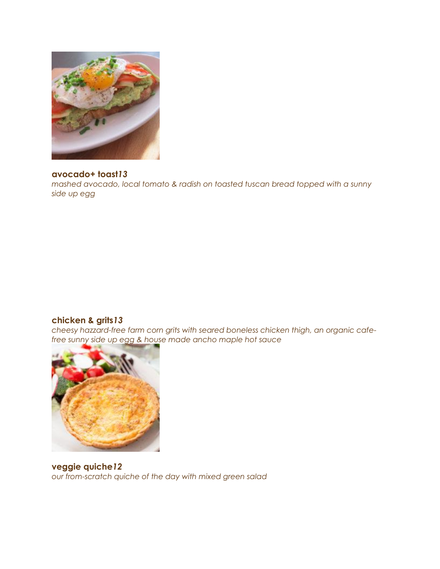

# **avocado+ toast***13*

*mashed avocado, local tomato & radish on toasted tuscan bread topped with a sunny side up egg*

# **chicken & grits***13*

*cheesy hazzard-free farm corn grits with seared boneless chicken thigh, an organic cafefree sunny side up egg & house made ancho maple hot sauce*



**veggie quiche***12 our from-scratch quiche of the day with mixed green salad*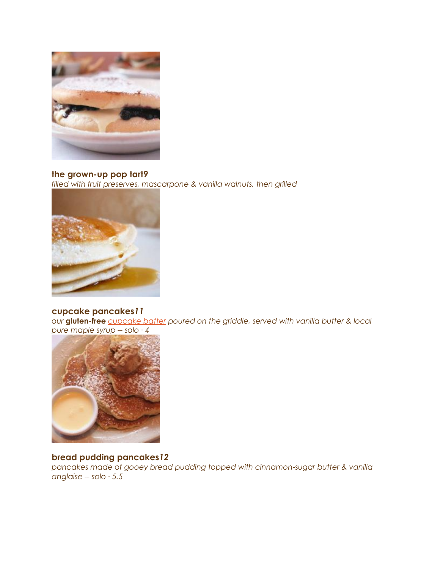

#### **the grown-up pop tart***9*

*filled with fruit preserves, mascarpone & vanilla walnuts, then grilled*



# **cupcake pancakes***11*

*our* **gluten-free** *[cupcake batter](https://southportgrocery.com/cafe/the-cupcake/) poured on the griddle, served with vanilla butter & local pure maple syrup -- solo ∙ 4*



# **bread pudding pancakes***12*

*pancakes made of gooey bread pudding topped with cinnamon-sugar butter & vanilla anglaise -- solo ∙ 5.5*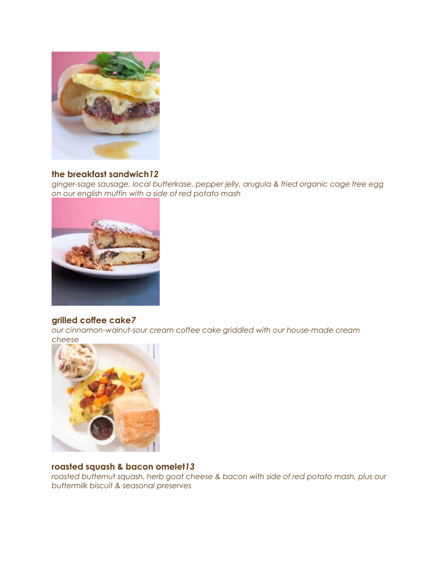

# **the breakfast sandwich***12*

*ginger-sage sausage, local butterkase, pepper jelly, arugula & fried organic cage free egg on our english muffin with a side of red potato mash*



# **grilled coffee cake***7*

*our cinnamon-walnut-sour cream coffee cake griddled with our house-made cream cheese*



# **roasted squash & bacon omelet***13*

roasted butternut squash, herb goat cheese & bacon with side of red potato mash, plus our *buttermilk biscuit & seasonal preserves*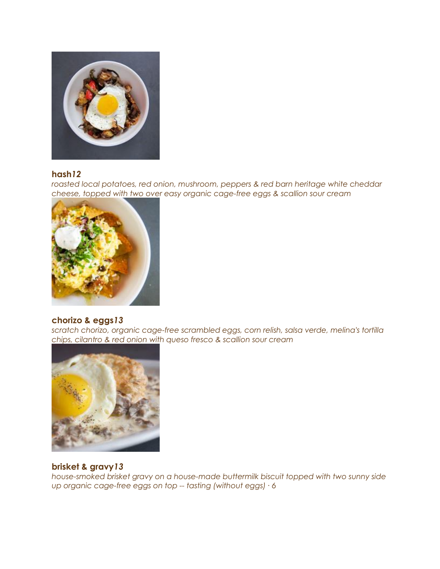

# **hash***12*

*roasted local potatoes, red onion, mushroom, peppers & red barn heritage white cheddar cheese, topped with two over easy organic cage-free eggs & scallion sour cream*



# **chorizo & eggs***13*

*scratch chorizo, organic cage-free scrambled eggs, corn relish, salsa verde, melina's tortilla chips, cilantro & red onion with queso fresco & scallion sour cream*



# **brisket & gravy***13*

*house-smoked brisket gravy on a house-made buttermilk biscuit topped with two sunny side up organic cage-free eggs on top -- tasting (without eggs) ∙ 6*